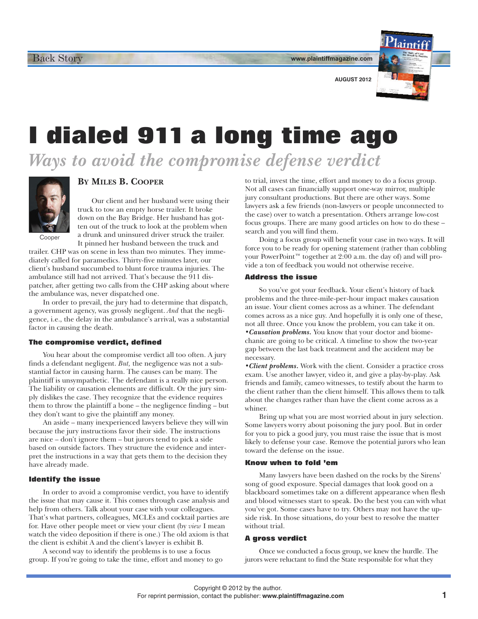**www.plaintiffmagazine.com**



**AUGUST 2012**

# **I dialed 911 a long time ago**

*Ways to avoid the compromise defense verdict*



## **BY MILES B. COOPER**

Our client and her husband were using their truck to tow an empty horse trailer. It broke down on the Bay Bridge. Her husband has gotten out of the truck to look at the problem when a drunk and uninsured driver struck the trailer.

Cooper

It pinned her husband between the truck and trailer. CHP was on scene in less than two minutes. They immediately called for paramedics. Thirty-five minutes later, our client's husband succumbed to blunt force trauma injuries. The ambulance still had not arrived. That's because the 911 dispatcher, after getting two calls from the CHP asking about where the ambulance was, never dispatched one.

In order to prevail, the jury had to determine that dispatch, a government agency, was grossly negligent. *And* that the negligence, i.e., the delay in the ambulance's arrival, was a substantial factor in causing the death.

### **The compromise verdict, defined**

You hear about the compromise verdict all too often. A jury finds a defendant negligent. *But,* the negligence was not a substantial factor in causing harm. The causes can be many. The plaintiff is unsympathetic. The defendant is a really nice person. The liability or causation elements are difficult. Or the jury simply dislikes the case. They recognize that the evidence requires them to throw the plaintiff a bone – the negligence finding – but they don't want to give the plaintiff any money.

An aside – many inexperienced lawyers believe they will win because the jury instructions favor their side. The instructions are nice – don't ignore them – but jurors tend to pick a side based on outside factors. They structure the evidence and interpret the instructions in a way that gets them to the decision they have already made.

### **Identify the issue**

In order to avoid a compromise verdict, you have to identify the issue that may cause it. This comes through case analysis and help from others. Talk about your case with your colleagues. That's what partners, colleagues, MCLEs and cocktail parties are for. Have other people meet or view your client (by *view* I mean watch the video deposition if there is one.) The old axiom is that the client is exhibit A and the client's lawyer is exhibit B.

A second way to identify the problems is to use a focus group. If you're going to take the time, effort and money to go to trial, invest the time, effort and money to do a focus group. Not all cases can financially support one-way mirror, multiple jury consultant productions. But there are other ways. Some lawyers ask a few friends (non-lawyers or people unconnected to the case) over to watch a presentation. Others arrange low-cost focus groups. There are many good articles on how to do these – search and you will find them.

Doing a focus group will benefit your case in two ways. It will force you to be ready for opening statement (rather than cobbling your PowerPoint™ together at 2:00 a.m. the day of) and will provide a ton of feedback you would not otherwise receive.

#### **Address the issue**

So you've got your feedback. Your client's history of back problems and the three-mile-per-hour impact makes causation an issue. Your client comes across as a whiner. The defendant comes across as a nice guy. And hopefully it is only one of these, not all three. Once you know the problem, you can take it on. *•Causation problems.* You know that your doctor and biomechanic are going to be critical. A timeline to show the two-year gap between the last back treatment and the accident may be necessary.

*•Client problems.* Work with the client. Consider a practice cross exam. Use another lawyer, video it, and give a play-by-play. Ask friends and family, cameo witnesses, to testify about the harm to the client rather than the client himself. This allows them to talk about the changes rather than have the client come across as a whiner.

Bring up what you are most worried about in jury selection. Some lawyers worry about poisoning the jury pool. But in order for you to pick a good jury, you must raise the issue that is most likely to defense your case. Remove the potential jurors who lean toward the defense on the issue.

#### **Know when to fold 'em**

Many lawyers have been dashed on the rocks by the Sirens' song of good exposure. Special damages that look good on a blackboard sometimes take on a different appearance when flesh and blood witnesses start to speak. Do the best you can with what you've got. Some cases have to try. Others may not have the upside risk. In those situations, do your best to resolve the matter without trial.

#### **A gross verdict**

Once we conducted a focus group, we knew the hurdle. The jurors were reluctant to find the State responsible for what they